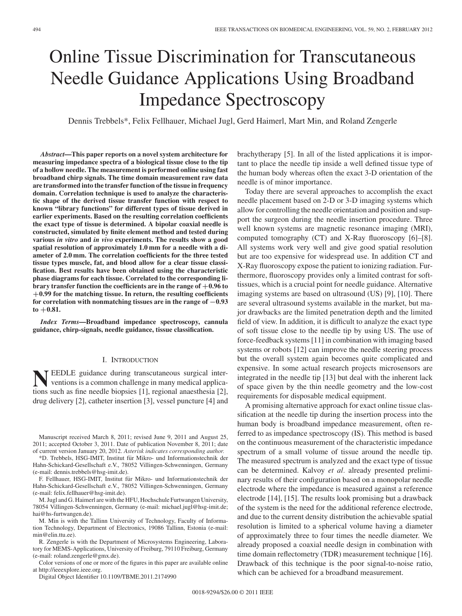# Online Tissue Discrimination for Transcutaneous Needle Guidance Applications Using Broadband Impedance Spectroscopy

Dennis Trebbels\*, Felix Fellhauer, Michael Jugl, Gerd Haimerl, Mart Min, and Roland Zengerle

*Abstract***—This paper reports on a novel system architecture for measuring impedance spectra of a biological tissue close to the tip of a hollow needle. The measurement is performed online using fast broadband chirp signals. The time domain measurement raw data are transformed into the transfer function of the tissue in frequency domain. Correlation technique is used to analyze the characteristic shape of the derived tissue transfer function with respect to known "library functions" for different types of tissue derived in earlier experiments. Based on the resulting correlation coefficients the exact type of tissue is determined. A bipolar coaxial needle is constructed, simulated by finite element method and tested during various** *in vitro* **and** *in vivo* **experiments. The results show a good spatial resolution of approximately 1.0 mm for a needle with a diameter of 2.0 mm. The correlation coefficients for the three tested tissue types muscle, fat, and blood allow for a clear tissue classification. Best results have been obtained using the characteristic phase diagrams for each tissue. Correlated to the corresponding library transfer function the coefficients are in the range of +0.96 to +0.99 for the matching tissue. In return, the resulting coefficients for correlation with nonmatching tissues are in the range of** *−***0.93 to +0.81.**

*Index Terms***—Broadband impedance spectroscopy, cannula guidance, chirp-signals, needle guidance, tissue classification.**

# I. INTRODUCTION

**N**EEDLE guidance during transcutaneous surgical inter-<br>ventions is a common challenge in many medical applica-<br>tions such as fine needle bionsies [1], regional appearance tions such as fine needle biopsies [1], regional anaesthesia [2], drug delivery [2], catheter insertion [3], vessel puncture [4] and

Manuscript received March 8, 2011; revised June 9, 2011 and August 25, 2011; accepted October 3, 2011. Date of publication November 8, 2011; date of current version January 20, 2012. *Asterisk indicates corresponding author.*

\*D. Trebbels, HSG-IMIT, Institut fur Mikro- und Informationstechnik der ¨ Hahn-Schickard-Gesellschaft e.V., 78052 Villingen-Schwenningen, Germany (e-mail: dennis.trebbels@hsg-imit.de).

F. Fellhauer, HSG-IMIT, Institut für Mikro- und Informationstechnik der Hahn-Schickard-Gesellschaft e.V., 78052 Villingen-Schwenningen, Germany (e-mail: felix.fellhauer@hsg-imit.de).

M. Jugl and G. Haimerl are with the HFU, Hochschule Furtwangen University, 78054 Villingen-Schwenningen, Germany (e-mail: michael.jugl@hsg-imit.de; hai@hs-furtwangen.de).

M. Min is with the Tallinn University of Technology, Faculty of Information Technology, Department of Electronics, 19086 Tallinn, Estonia (e-mail: min@elin.ttu.ee).

R. Zengerle is with the Department of Microsystems Engineering, Laboratory for MEMS-Applications, University of Freiburg, 79110 Freiburg, Germany (e-mail: roland.zengerle@gmx.de).

Color versions of one or more of the figures in this paper are available online at http://ieeexplore.ieee.org.

Digital Object Identifier 10.1109/TBME.2011.2174990

brachytherapy [5]. In all of the listed applications it is important to place the needle tip inside a well defined tissue type of the human body whereas often the exact 3-D orientation of the needle is of minor importance.

Today there are several approaches to accomplish the exact needle placement based on 2-D or 3-D imaging systems which allow for controlling the needle orientation and position and support the surgeon during the needle insertion procedure. Three well known systems are magnetic resonance imaging (MRI), computed tomography (CT) and X-Ray fluoroscopy [6]–[8]. All systems work very well and give good spatial resolution but are too expensive for widespread use. In addition CT and X-Ray fluoroscopy expose the patient to ionizing radiation. Furthermore, fluoroscopy provides only a limited contrast for softtissues, which is a crucial point for needle guidance. Alternative imaging systems are based on ultrasound (US) [9], [10]. There are several ultrasound systems available in the market, but major drawbacks are the limited penetration depth and the limited field of view. In addition, it is difficult to analyze the exact type of soft tissue close to the needle tip by using US. The use of force-feedback systems [11] in combination with imaging based systems or robots [12] can improve the needle steering process but the overall system again becomes quite complicated and expensive. In some actual research projects microsensors are integrated in the needle tip [13] but deal with the inherent lack of space given by the thin needle geometry and the low-cost requirements for disposable medical equipment.

A promising alternative approach for exact online tissue classification at the needle tip during the insertion process into the human body is broadband impedance measurement, often referred to as impedance spectroscopy (IS). This method is based on the continuous measurement of the characteristic impedance spectrum of a small volume of tissue around the needle tip. The measured spectrum is analyzed and the exact type of tissue can be determined. Kalvoy *et al.* already presented preliminary results of their configuration based on a monopolar needle electrode where the impedance is measured against a reference electrode [14], [15]. The results look promising but a drawback of the system is the need for the additional reference electrode, and due to the current density distribution the achievable spatial resolution is limited to a spherical volume having a diameter of approximately three to four times the needle diameter. We already proposed a coaxial needle design in combination with time domain reflectometry (TDR) measurement technique [16]. Drawback of this technique is the poor signal-to-noise ratio, which can be achieved for a broadband measurement.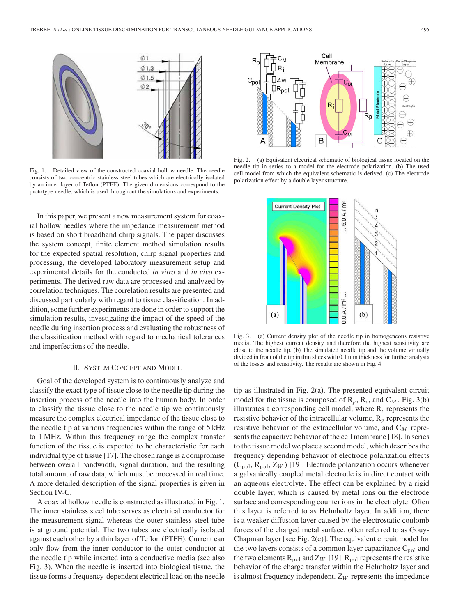

Fig. 1. Detailed view of the constructed coaxial hollow needle. The needle consists of two concentric stainless steel tubes which are electrically isolated by an inner layer of Teflon (PTFE). The given dimensions correspond to the prototype needle, which is used throughout the simulations and experiments.

In this paper, we present a new measurement system for coaxial hollow needles where the impedance measurement method is based on short broadband chirp signals. The paper discusses the system concept, finite element method simulation results for the expected spatial resolution, chirp signal properties and processing, the developed laboratory measurement setup and experimental details for the conducted *in vitro* and *in vivo* experiments. The derived raw data are processed and analyzed by correlation techniques. The correlation results are presented and discussed particularly with regard to tissue classification. In addition, some further experiments are done in order to support the simulation results, investigating the impact of the speed of the needle during insertion process and evaluating the robustness of the classification method with regard to mechanical tolerances and imperfections of the needle.

## II. SYSTEM CONCEPT AND MODEL

Goal of the developed system is to continuously analyze and classify the exact type of tissue close to the needle tip during the insertion process of the needle into the human body. In order to classify the tissue close to the needle tip we continuously measure the complex electrical impedance of the tissue close to the needle tip at various frequencies within the range of 5 kHz to 1 MHz. Within this frequency range the complex transfer function of the tissue is expected to be characteristic for each individual type of tissue [17]. The chosen range is a compromise between overall bandwidth, signal duration, and the resulting total amount of raw data, which must be processed in real time. A more detailed description of the signal properties is given in Section IV-C.

A coaxial hollow needle is constructed as illustrated in Fig. 1. The inner stainless steel tube serves as electrical conductor for the measurement signal whereas the outer stainless steel tube is at ground potential. The two tubes are electrically isolated against each other by a thin layer of Teflon (PTFE). Current can only flow from the inner conductor to the outer conductor at the needle tip while inserted into a conductive media (see also Fig. 3). When the needle is inserted into biological tissue, the tissue forms a frequency-dependent electrical load on the needle



Fig. 2. (a) Equivalent electrical schematic of biological tissue located on the needle tip in series to a model for the electrode polarization. (b) The used cell model from which the equivalent schematic is derived. (c) The electrode polarization effect by a double layer structure.



Fig. 3. (a) Current density plot of the needle tip in homogeneous resistive media. The highest current density and therefore the highest sensitivity are close to the needle tip. (b) The simulated needle tip and the volume virtually divided in front of the tip in thin slices with 0.1 mm thickness for further analysis of the losses and sensitivity. The results are shown in Fig. 4.

tip as illustrated in Fig. 2(a). The presented equivalent circuit model for the tissue is composed of  $R_p$ ,  $R_i$ , and  $C_M$ . Fig. 3(b) illustrates a corresponding cell model, where  $R_i$  represents the resistive behavior of the intracellular volume,  $R_p$  represents the resistive behavior of the extracellular volume, and  $C_M$  represents the capacitive behavior of the cell membrane [18]. In series to the tissue model we place a second model, which describes the frequency depending behavior of electrode polarization effects  $(C_{\text{pol}}, R_{\text{pol}}, Z_W)$  [19]. Electrode polarization occurs whenever a galvanically coupled metal electrode is in direct contact with an aqueous electrolyte. The effect can be explained by a rigid double layer, which is caused by metal ions on the electrode surface and corresponding counter ions in the electrolyte. Often this layer is referred to as Helmholtz layer. In addition, there is a weaker diffusion layer caused by the electrostatic coulomb forces of the charged metal surface, often referred to as Gouy-Chapman layer [see Fig. 2(c)]. The equivalent circuit model for the two layers consists of a common layer capacitance  $C_{\text{pol}}$  and the two elements  $R_{pol}$  and  $Z_W$  [19].  $R_{pol}$  represents the resistive behavior of the charge transfer within the Helmholtz layer and is almost frequency independent.  $Z_W$  represents the impedance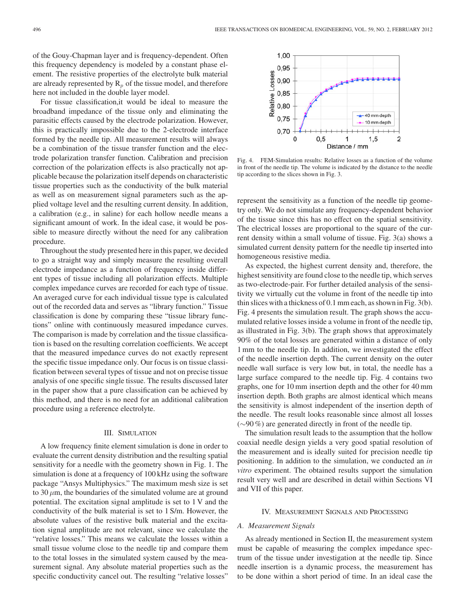of the Gouy-Chapman layer and is frequency-dependent. Often this frequency dependency is modeled by a constant phase element. The resistive properties of the electrolyte bulk material are already represented by  $R_p$  of the tissue model, and therefore here not included in the double layer model.

For tissue classification,it would be ideal to measure the broadband impedance of the tissue only and eliminating the parasitic effects caused by the electrode polarization. However, this is practically impossible due to the 2-electrode interface formed by the needle tip. All measurement results will always be a combination of the tissue transfer function and the electrode polarization transfer function. Calibration and precision correction of the polarization effects is also practically not applicable because the polarization itself depends on characteristic tissue properties such as the conductivity of the bulk material as well as on measurement signal parameters such as the applied voltage level and the resulting current density. In addition, a calibration (e.g., in saline) for each hollow needle means a significant amount of work. In the ideal case, it would be possible to measure directly without the need for any calibration procedure.

Throughout the study presented here in this paper, we decided to go a straight way and simply measure the resulting overall electrode impedance as a function of frequency inside different types of tissue including all polarization effects. Multiple complex impedance curves are recorded for each type of tissue. An averaged curve for each individual tissue type is calculated out of the recorded data and serves as "library function." Tissue classification is done by comparing these "tissue library functions" online with continuously measured impedance curves. The comparison is made by correlation and the tissue classification is based on the resulting correlation coefficients. We accept that the measured impedance curves do not exactly represent the specific tissue impedance only. Our focus is on tissue classification between several types of tissue and not on precise tissue analysis of one specific single tissue. The results discussed later in the paper show that a pure classification can be achieved by this method, and there is no need for an additional calibration procedure using a reference electrolyte.

### III. SIMULATION

A low frequency finite element simulation is done in order to evaluate the current density distribution and the resulting spatial sensitivity for a needle with the geometry shown in Fig. 1. The simulation is done at a frequency of 100 kHz using the software package "Ansys Multiphysics." The maximum mesh size is set to 30  $\mu$ m, the boundaries of the simulated volume are at ground potential. The excitation signal amplitude is set to 1 V and the conductivity of the bulk material is set to 1 S/m. However, the absolute values of the resistive bulk material and the excitation signal amplitude are not relevant, since we calculate the "relative losses." This means we calculate the losses within a small tissue volume close to the needle tip and compare them to the total losses in the simulated system caused by the measurement signal. Any absolute material properties such as the specific conductivity cancel out. The resulting "relative losses"



Fig. 4. FEM-Simulation results: Relative losses as a function of the volume in front of the needle tip. The volume is indicated by the distance to the needle tip according to the slices shown in Fig. 3.

represent the sensitivity as a function of the needle tip geometry only. We do not simulate any frequency-dependent behavior of the tissue since this has no effect on the spatial sensitivity. The electrical losses are proportional to the square of the current density within a small volume of tissue. Fig. 3(a) shows a simulated current density pattern for the needle tip inserted into homogeneous resistive media.

As expected, the highest current density and, therefore, the highest sensitivity are found close to the needle tip, which serves as two-electrode-pair. For further detailed analysis of the sensitivity we virtually cut the volume in front of the needle tip into thin slices with a thickness of 0.1 mm each, as shown in Fig. 3(b). Fig. 4 presents the simulation result. The graph shows the accumulated relative losses inside a volume in front of the needle tip, as illustrated in Fig. 3(b). The graph shows that approximately 90% of the total losses are generated within a distance of only 1 mm to the needle tip. In addition, we investigated the effect of the needle insertion depth. The current density on the outer needle wall surface is very low but, in total, the needle has a large surface compared to the needle tip. Fig. 4 contains two graphs, one for 10 mm insertion depth and the other for 40 mm insertion depth. Both graphs are almost identical which means the sensitivity is almost independent of the insertion depth of the needle. The result looks reasonable since almost all losses (∼90 %) are generated directly in front of the needle tip.

The simulation result leads to the assumption that the hollow coaxial needle design yields a very good spatial resolution of the measurement and is ideally suited for precision needle tip positioning. In addition to the simulation, we conducted an *in vitro* experiment. The obtained results support the simulation result very well and are described in detail within Sections VI and VII of this paper.

# IV. MEASUREMENT SIGNALS AND PROCESSING

# *A. Measurement Signals*

As already mentioned in Section II, the measurement system must be capable of measuring the complex impedance spectrum of the tissue under investigation at the needle tip. Since needle insertion is a dynamic process, the measurement has to be done within a short period of time. In an ideal case the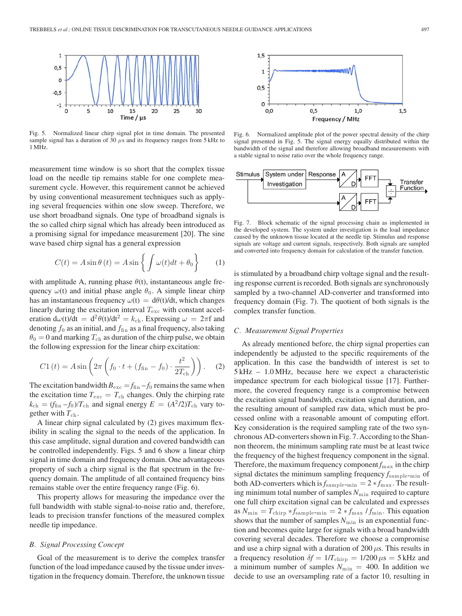

Fig. 5. Normalized linear chirp signal plot in time domain. The presented sample signal has a duration of 30  $\mu$ s and its frequency ranges from 5 kHz to 1 MHz.

measurement time window is so short that the complex tissue load on the needle tip remains stable for one complete measurement cycle. However, this requirement cannot be achieved by using conventional measurement techniques such as applying several frequencies within one slow sweep. Therefore, we use short broadband signals. One type of broadband signals is the so called chirp signal which has already been introduced as a promising signal for impedance measurement [20]. The sine wave based chirp signal has a general expression

$$
C(t) = A \sin \theta (t) = A \sin \left\{ \int \omega(t) dt + \theta_0 \right\}
$$
 (1)

with amplitude A, running phase  $\theta(t)$ , instantaneous angle frequency  $\omega(t)$  and initial phase angle  $\theta_0$ . A simple linear chirp has an instantaneous frequency  $\omega(t) = d\theta(t)/dt$ , which changes linearly during the excitation interval  $T_{\rm exc}$  with constant acceleration  $d\omega(t)/dt = d^2\theta(t)/dt^2 = k_{ch}$ . Expressing  $\omega = 2\pi f$  and denoting  $f_0$  as an initial, and  $f_{fin}$  as a final frequency, also taking  $\theta_0 = 0$  and marking  $T_{ch}$  as duration of the chirp pulse, we obtain the following expression for the linear chirp excitation:

$$
C1(t) = A \sin \left(2\pi \left(f_0 \cdot t + (f_{\text{fin}} - f_0) \cdot \frac{t^2}{2T_{\text{ch}}}\right)\right).
$$
 (2)

The excitation bandwidth  $B_{\text{exc}} = f_{\text{fin}} - f_0$  remains the same when the excitation time  $T_{\text{exc}} = T_{\text{ch}}$  changes. Only the chirping rate  $k_{\text{ch}} = (f_{\text{fin}} - f_0)/T_{\text{ch}}$  and signal energy  $E = (A^2/2)T_{\text{ch}}$  vary together with  $T_{ch}$ .

A linear chirp signal calculated by (2) gives maximum flexibility in scaling the signal to the needs of the application. In this case amplitude, signal duration and covered bandwidth can be controlled independently. Figs. 5 and 6 show a linear chirp signal in time domain and frequency domain. One advantageous property of such a chirp signal is the flat spectrum in the frequency domain. The amplitude of all contained frequency bins remains stable over the entire frequency range (Fig. 6).

This property allows for measuring the impedance over the full bandwidth with stable signal-to-noise ratio and, therefore, leads to precision transfer functions of the measured complex needle tip impedance.

# *B. Signal Processing Concept*

Goal of the measurement is to derive the complex transfer function of the load impedance caused by the tissue under investigation in the frequency domain. Therefore, the unknown tissue



Fig. 6. Normalized amplitude plot of the power spectral density of the chirp signal presented in Fig. 5. The signal energy equally distributed within the bandwidth of the signal and therefore allowing broadband measurements with a stable signal to noise ratio over the whole frequency range.



Fig. 7. Block schematic of the signal processing chain as implemented in the developed system. The system under investigation is the load impedance caused by the unknown tissue located at the needle tip. Stimulus and response signals are voltage and current signals, respectively. Both signals are sampled and converted into frequency domain for calculation of the transfer function.

is stimulated by a broadband chirp voltage signal and the resulting response current is recorded. Both signals are synchronously sampled by a two-channel AD-converter and transformed into frequency domain (Fig. 7). The quotient of both signals is the complex transfer function.

# *C. Measurement Signal Properties*

As already mentioned before, the chirp signal properties can independently be adjusted to the specific requirements of the application. In this case the bandwidth of interest is set to 5 kHz – 1.0 MHz, because here we expect a characteristic impedance spectrum for each biological tissue [17]. Furthermore, the covered frequency range is a compromise between the excitation signal bandwidth, excitation signal duration, and the resulting amount of sampled raw data, which must be processed online with a reasonable amount of computing effort. Key consideration is the required sampling rate of the two synchronous AD-converters shown in Fig. 7. According to the Shannon theorem, the minimum sampling rate must be at least twice the frequency of the highest frequency component in the signal. Therefore, the maximum frequency component  $f_{\text{max}}$  in the chirp signal dictates the minimum sampling frequency *f*sample-min of both AD-converters which is  $f_{\text{sample-min}} = 2 * f_{\text{max}}$ . The resulting minimum total number of samples  $N_{\text{min}}$  required to capture one full chirp excitation signal can be calculated and expresses as  $N_{\text{min}} = T_{\text{chirp}} * f_{\text{sample-min}} = 2 * f_{\text{max}} / f_{\text{min}}$ . This equation shows that the number of samples  $N_{\text{min}}$  is an exponential function and becomes quite large for signals with a broad bandwidth covering several decades. Therefore we choose a compromise and use a chirp signal with a duration of  $200 \mu s$ . This results in a frequency resolution  $\delta f = 1/T_{\text{chirp}} = 1/200 \,\mu s = 5 \,\text{kHz}$  and a minimum number of samples  $N_{\text{min}} = 400$ . In addition we decide to use an oversampling rate of a factor 10, resulting in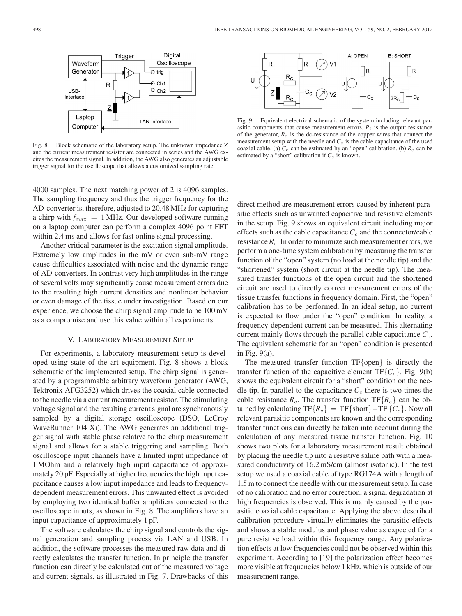

Fig. 8. Block schematic of the laboratory setup. The unknown impedance Z and the current measurement resistor are connected in series and the AWG excites the measurement signal. In addition, the AWG also generates an adjustable trigger signal for the oscilloscope that allows a customized sampling rate.

4000 samples. The next matching power of 2 is 4096 samples. The sampling frequency and thus the trigger frequency for the AD-converter is, therefore, adjusted to 20.48 MHz for capturing a chirp with  $f_{\text{max}} = 1$  MHz. Our developed software running on a laptop computer can perform a complex 4096 point FFT within 2.4 ms and allows for fast online signal processing.

Another critical parameter is the excitation signal amplitude. Extremely low amplitudes in the mV or even sub-mV range cause difficulties associated with noise and the dynamic range of AD-converters. In contrast very high amplitudes in the range of several volts may significantly cause measurement errors due to the resulting high current densities and nonlinear behavior or even damage of the tissue under investigation. Based on our experience, we choose the chirp signal amplitude to be 100 mV as a compromise and use this value within all experiments.

#### V. LABORATORY MEASUREMENT SETUP

For experiments, a laboratory measurement setup is developed using state of the art equipment. Fig. 8 shows a block schematic of the implemented setup. The chirp signal is generated by a programmable arbitrary waveform generator (AWG, Tektronix AFG3252) which drives the coaxial cable connected to the needle via a current measurement resistor. The stimulating voltage signal and the resulting current signal are synchronously sampled by a digital storage oscilloscope (DSO, LeCroy WaveRunner 104 Xi). The AWG generates an additional trigger signal with stable phase relative to the chirp measurement signal and allows for a stable triggering and sampling. Both oscilloscope input channels have a limited input impedance of 1 MOhm and a relatively high input capacitance of approximately 20 pF. Especially at higher frequencies the high input capacitance causes a low input impedance and leads to frequencydependent measurement errors. This unwanted effect is avoided by employing two identical buffer amplifiers connected to the oscilloscope inputs, as shown in Fig. 8. The amplifiers have an input capacitance of approximately 1 pF.

The software calculates the chirp signal and controls the signal generation and sampling process via LAN and USB. In addition, the software processes the measured raw data and directly calculates the transfer function. In principle the transfer function can directly be calculated out of the measured voltage and current signals, as illustrated in Fig. 7. Drawbacks of this



Fig. 9. Equivalent electrical schematic of the system including relevant parasitic components that cause measurement errors.  $R_i$  is the output resistance of the generator,  $R_c$  is the dc-resistance of the copper wires that connect the measurement setup with the needle and  $C_c$  is the cable capacitance of the used coaxial cable. (a)  $C_c$  can be estimated by an "open" calibration. (b)  $R_c$  can be estimated by a "short" calibration if  $C_c$  is known.

direct method are measurement errors caused by inherent parasitic effects such as unwanted capacitive and resistive elements in the setup. Fig. 9 shows an equivalent circuit including major effects such as the cable capacitance  $C_c$  and the connector/cable resistance  $R_c$ . In order to minimize such measurement errors, we perform a one-time system calibration by measuring the transfer function of the "open" system (no load at the needle tip) and the "shortened" system (short circuit at the needle tip). The measured transfer functions of the open circuit and the shortened circuit are used to directly correct measurement errors of the tissue transfer functions in frequency domain. First, the "open" calibration has to be performed. In an ideal setup, no current is expected to flow under the "open" condition. In reality, a frequency-dependent current can be measured. This alternating current mainly flows through the parallel cable capacitance  $C_c$ . The equivalent schematic for an "open" condition is presented in Fig. 9(a).

The measured transfer function TF{open} is directly the transfer function of the capacitive element  $TF{C<sub>c</sub>}$ . Fig. 9(b) shows the equivalent circuit for a "short" condition on the needle tip. In parallel to the capacitance  $C_c$  there is two times the cable resistance  $R_c$ . The transfer function TF ${R_c}$  can be obtained by calculating  $TF{R_c}$  =  $TF{short}$  –  $TF{C_c}$ . Now all relevant parasitic components are known and the corresponding transfer functions can directly be taken into account during the calculation of any measured tissue transfer function. Fig. 10 shows two plots for a laboratory measurement result obtained by placing the needle tip into a resistive saline bath with a measured conductivity of 16.2 mS/cm (almost isotonic). In the test setup we used a coaxial cable of type RG174A with a length of 1.5 m to connect the needle with our measurement setup. In case of no calibration and no error correction, a signal degradation at high frequencies is observed. This is mainly caused by the parasitic coaxial cable capacitance. Applying the above described calibration procedure virtually eliminates the parasitic effects and shows a stable modulus and phase value as expected for a pure resistive load within this frequency range. Any polarization effects at low frequencies could not be observed within this experiment. According to [19] the polarization effect becomes more visible at frequencies below 1 kHz, which is outside of our measurement range.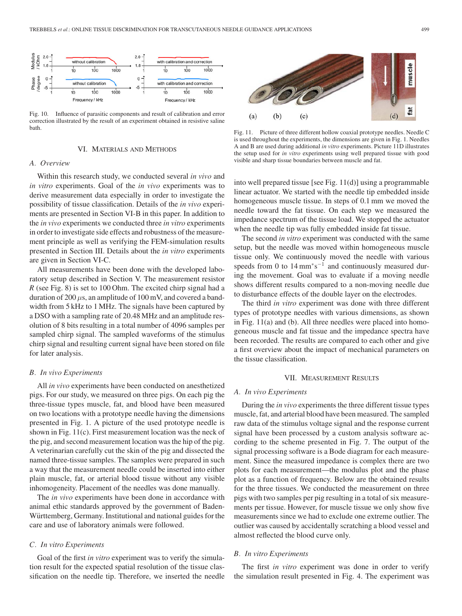

Fig. 10. Influence of parasitic components and result of calibration and error correction illustrated by the result of an experiment obtained in resistive saline bath.

#### VI. MATERIALS AND METHODS

#### *A. Overview*

Within this research study, we conducted several *in vivo* and *in vitro* experiments. Goal of the *in vivo* experiments was to derive measurement data especially in order to investigate the possibility of tissue classification. Details of the *in vivo* experiments are presented in Section VI-B in this paper. In addition to the *in vivo* experiments we conducted three *in vitro* experiments in order to investigate side effects and robustness of the measurement principle as well as verifying the FEM-simulation results presented in Section III. Details about the *in vitro* experiments are given in Section VI-C.

All measurements have been done with the developed laboratory setup described in Section V. The measurement resistor *R* (see Fig. 8) is set to 100 Ohm. The excited chirp signal had a duration of 200  $\mu$ s, an amplitude of 100 mV, and covered a bandwidth from 5 kHz to 1 MHz. The signals have been captured by a DSO with a sampling rate of 20.48 MHz and an amplitude resolution of 8 bits resulting in a total number of 4096 samples per sampled chirp signal. The sampled waveforms of the stimulus chirp signal and resulting current signal have been stored on file for later analysis.

#### *B. In vivo Experiments*

All *in vivo* experiments have been conducted on anesthetized pigs. For our study, we measured on three pigs. On each pig the three-tissue types muscle, fat, and blood have been measured on two locations with a prototype needle having the dimensions presented in Fig. 1. A picture of the used prototype needle is shown in Fig. 11(c). First measurement location was the neck of the pig, and second measurement location was the hip of the pig. A veterinarian carefully cut the skin of the pig and dissected the named three-tissue samples. The samples were prepared in such a way that the measurement needle could be inserted into either plain muscle, fat, or arterial blood tissue without any visible inhomogeneity. Placement of the needles was done manually.

The *in vivo* experiments have been done in accordance with animal ethic standards approved by the government of Baden-Württemberg, Germany. Institutional and national guides for the care and use of laboratory animals were followed.

# *C. In vitro Experiments*

Goal of the first *in vitro* experiment was to verify the simulation result for the expected spatial resolution of the tissue classification on the needle tip. Therefore, we inserted the needle



Fig. 11. Picture of three different hollow coaxial prototype needles. Needle C is used throughout the experiments, the dimensions are given in Fig. 1. Needles A and B are used during additional *in vitro* experiments. Picture 11D illustrates the setup used for *in vitro* experiments using well prepared tissue with good visible and sharp tissue boundaries between muscle and fat.

into well prepared tissue [see Fig. 11(d)] using a programmable linear actuator. We started with the needle tip embedded inside homogeneous muscle tissue. In steps of 0.1 mm we moved the needle toward the fat tissue. On each step we measured the impedance spectrum of the tissue load. We stopped the actuator when the needle tip was fully embedded inside fat tissue.

The second *in vitro* experiment was conducted with the same setup, but the needle was moved within homogeneous muscle tissue only. We continuously moved the needle with various speeds from 0 to  $14 \text{ mm}^* \text{s}^{-1}$  and continuously measured during the movement. Goal was to evaluate if a moving needle shows different results compared to a non-moving needle due to disturbance effects of the double layer on the electrodes.

The third *in vitro* experiment was done with three different types of prototype needles with various dimensions, as shown in Fig. 11(a) and (b). All three needles were placed into homogeneous muscle and fat tissue and the impedance spectra have been recorded. The results are compared to each other and give a first overview about the impact of mechanical parameters on the tissue classification.

#### VII. MEASUREMENT RESULTS

#### *A. In vivo Experiments*

During the *in vivo* experiments the three different tissue types muscle, fat, and arterial blood have been measured. The sampled raw data of the stimulus voltage signal and the response current signal have been processed by a custom analysis software according to the scheme presented in Fig. 7. The output of the signal processing software is a Bode diagram for each measurement. Since the measured impedance is complex there are two plots for each measurement—the modulus plot and the phase plot as a function of frequency. Below are the obtained results for the three tissues. We conducted the measurement on three pigs with two samples per pig resulting in a total of six measurements per tissue. However, for muscle tissue we only show five measurements since we had to exclude one extreme outlier. The outlier was caused by accidentally scratching a blood vessel and almost reflected the blood curve only.

# *B. In vitro Experiments*

The first *in vitro* experiment was done in order to verify the simulation result presented in Fig. 4. The experiment was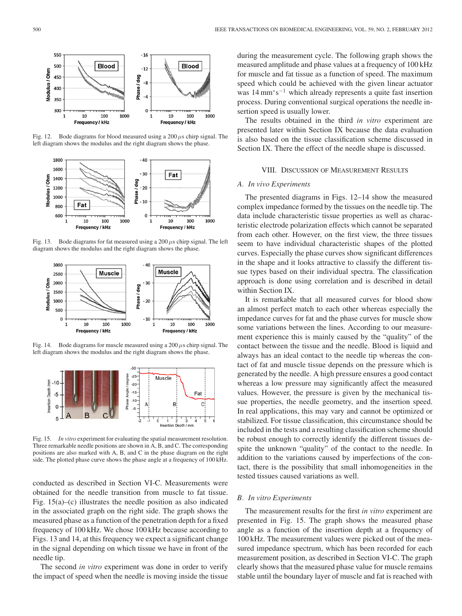

Fig. 12. Bode diagrams for blood measured using a  $200 \mu s$  chirp signal. The left diagram shows the modulus and the right diagram shows the phase.



Fig. 13. Bode diagrams for fat measured using a  $200 \mu s$  chirp signal. The left diagram shows the modulus and the right diagram shows the phase.



Fig. 14. Bode diagrams for muscle measured using a 200  $\mu$ s chirp signal. The left diagram shows the modulus and the right diagram shows the phase.



Fig. 15. *In vitro* experiment for evaluating the spatial measurement resolution. Three remarkable needle positions are shown in A, B, and C. The corresponding positions are also marked with A, B, and C in the phase diagram on the right side. The plotted phase curve shows the phase angle at a frequency of 100 kHz.

conducted as described in Section VI-C. Measurements were obtained for the needle transition from muscle to fat tissue. Fig. 15(a)–(c) illustrates the needle position as also indicated in the associated graph on the right side. The graph shows the measured phase as a function of the penetration depth for a fixed frequency of 100 kHz. We chose 100 kHz because according to Figs. 13 and 14, at this frequency we expect a significant change in the signal depending on which tissue we have in front of the needle tip.

The second *in vitro* experiment was done in order to verify the impact of speed when the needle is moving inside the tissue during the measurement cycle. The following graph shows the measured amplitude and phase values at a frequency of 100 kHz for muscle and fat tissue as a function of speed. The maximum speed which could be achieved with the given linear actuator was 14 mm∗s−<sup>1</sup> which already represents a quite fast insertion process. During conventional surgical operations the needle insertion speed is usually lower.

The results obtained in the third *in vitro* experiment are presented later within Section IX because the data evaluation is also based on the tissue classification scheme discussed in Section IX. There the effect of the needle shape is discussed.

# VIII. DISCUSSION OF MEASUREMENT RESULTS

# *A. In vivo Experiments*

The presented diagrams in Figs. 12–14 show the measured complex impedance formed by the tissues on the needle tip. The data include characteristic tissue properties as well as characteristic electrode polarization effects which cannot be separated from each other. However, on the first view, the three tissues seem to have individual characteristic shapes of the plotted curves. Especially the phase curves show significant differences in the shape and it looks attractive to classify the different tissue types based on their individual spectra. The classification approach is done using correlation and is described in detail within Section IX.

It is remarkable that all measured curves for blood show an almost perfect match to each other whereas especially the impedance curves for fat and the phase curves for muscle show some variations between the lines. According to our measurement experience this is mainly caused by the "quality" of the contact between the tissue and the needle. Blood is liquid and always has an ideal contact to the needle tip whereas the contact of fat and muscle tissue depends on the pressure which is generated by the needle. A high pressure ensures a good contact whereas a low pressure may significantly affect the measured values. However, the pressure is given by the mechanical tissue properties, the needle geometry, and the insertion speed. In real applications, this may vary and cannot be optimized or stabilized. For tissue classification, this circumstance should be included in the tests and a resulting classification scheme should be robust enough to correctly identify the different tissues despite the unknown "quality" of the contact to the needle. In addition to the variations caused by imperfections of the contact, there is the possibility that small inhomogeneities in the tested tissues caused variations as well.

# *B. In vitro Experiments*

The measurement results for the first *in vitro* experiment are presented in Fig. 15. The graph shows the measured phase angle as a function of the insertion depth at a frequency of 100 kHz. The measurement values were picked out of the measured impedance spectrum, which has been recorded for each measurement position, as described in Section VI-C. The graph clearly shows that the measured phase value for muscle remains stable until the boundary layer of muscle and fat is reached with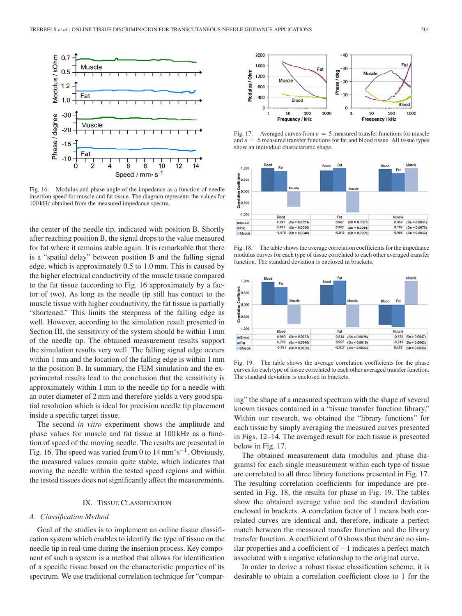

Fig. 16. Modulus and phase angle of the impedance as a function of needle insertion speed for muscle and fat tissue. The diagram represents the values for 100 kHz obtained from the measured impedance spectra.

the center of the needle tip, indicated with position B. Shortly after reaching position B, the signal drops to the value measured for fat where it remains stable again. It is remarkable that there is a "spatial delay" between position B and the falling signal edge, which is approximately 0.5 to 1.0 mm. This is caused by the higher electrical conductivity of the muscle tissue compared to the fat tissue (according to Fig. 16 approximately by a factor of two). As long as the needle tip still has contact to the muscle tissue with higher conductivity, the fat tissue is partially "shortened." This limits the steepness of the falling edge as well. However, according to the simulation result presented in Section III, the sensitivity of the system should be within 1 mm of the needle tip. The obtained measurement results support the simulation results very well. The falling signal edge occurs within 1 mm and the location of the falling edge is within 1 mm to the position B. In summary, the FEM simulation and the experimental results lead to the conclusion that the sensitivity is approximately within 1 mm to the needle tip for a needle with an outer diameter of 2 mm and therefore yields a very good spatial resolution which is ideal for precision needle tip placement inside a specific target tissue.

The second *in vitro* experiment shows the amplitude and phase values for muscle and fat tissue at 100 kHz as a function of speed of the moving needle. The results are presented in Fig. 16. The speed was varied from 0 to 14 mm<sup>∗</sup>s<sup>−</sup><sup>1</sup> . Obviously, the measured values remain quite stable, which indicates that moving the needle within the tested speed regions and within the tested tissues does not significantly affect the measurements.

## IX. TISSUE CLASSIFICATION

#### *A. Classification Method*

Goal of the studies is to implement an online tissue classification system which enables to identify the type of tissue on the needle tip in real-time during the insertion process. Key component of such a system is a method that allows for identification of a specific tissue based on the characteristic properties of its spectrum. We use traditional correlation technique for "compar-



Fig. 17. Averaged curves from  $n = 5$  measured transfer functions for muscle and  $n = 6$  measured transfer functions for fat and blood tissue. All tissue types show an individual characteristic shape.



Fig. 18. The table shows the average correlation coefficients for the impedance modulus curves for each type of tissue correlated to each other averaged transfer function. The standard deviation is enclosed in brackets.



Fig. 19. The table shows the average correlation coefficients for the phase curves for each type of tissue correlated to each other averaged transfer function. The standard deviation is enclosed in brackets.

ing" the shape of a measured spectrum with the shape of several known tissues contained in a "tissue transfer function library." Within our research, we obtained the "library functions" for each tissue by simply averaging the measured curves presented in Figs. 12–14. The averaged result for each tissue is presented below in Fig. 17.

The obtained measurement data (modulus and phase diagrams) for each single measurement within each type of tissue are correlated to all three library functions presented in Fig. 17. The resulting correlation coefficients for impedance are presented in Fig. 18, the results for phase in Fig. 19. The tables show the obtained average value and the standard deviation enclosed in brackets. A correlation factor of 1 means both correlated curves are identical and, therefore, indicate a perfect match between the measured transfer function and the library transfer function. A coefficient of 0 shows that there are no similar properties and a coefficient of −1 indicates a perfect match associated with a negative relationship to the original curve.

In order to derive a robust tissue classification scheme, it is desirable to obtain a correlation coefficient close to 1 for the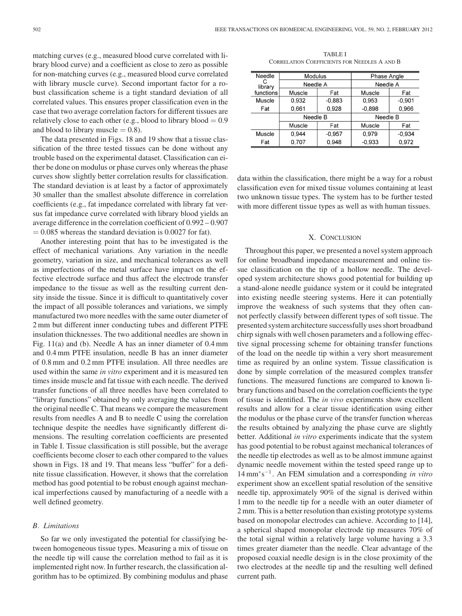matching curves (e.g., measured blood curve correlated with library blood curve) and a coefficient as close to zero as possible for non-matching curves (e.g., measured blood curve correlated with library muscle curve). Second important factor for a robust classification scheme is a tight standard deviation of all correlated values. This ensures proper classification even in the case that two average correlation factors for different tissues are relatively close to each other (e.g., blood to library blood  $= 0.9$ ) and blood to library muscle  $= 0.8$ ).

The data presented in Figs. 18 and 19 show that a tissue classification of the three tested tissues can be done without any trouble based on the experimental dataset. Classification can either be done on modulus or phase curves only whereas the phase curves show slightly better correlation results for classification. The standard deviation is at least by a factor of approximately 30 smaller than the smallest absolute difference in correlation coefficients (e.g., fat impedance correlated with library fat versus fat impedance curve correlated with library blood yields an average difference in the correlation coefficient of 0.992 – 0.907  $= 0.085$  whereas the standard deviation is 0.0027 for fat).

Another interesting point that has to be investigated is the effect of mechanical variations. Any variation in the needle geometry, variation in size, and mechanical tolerances as well as imperfections of the metal surface have impact on the effective electrode surface and thus affect the electrode transfer impedance to the tissue as well as the resulting current density inside the tissue. Since it is difficult to quantitatively cover the impact of all possible tolerances and variations, we simply manufactured two more needles with the same outer diameter of 2 mm but different inner conducting tubes and different PTFE insulation thicknesses. The two additional needles are shown in Fig. 11(a) and (b). Needle A has an inner diameter of 0.4 mm and 0.4 mm PTFE insulation, needle B has an inner diameter of 0.8 mm and 0.2 mm PTFE insulation. All three needles are used within the same *in vitro* experiment and it is measured ten times inside muscle and fat tissue with each needle. The derived transfer functions of all three needles have been correlated to "library functions" obtained by only averaging the values from the original needle C. That means we compare the measurement results from needles A and B to needle C using the correlation technique despite the needles have significantly different dimensions. The resulting correlation coefficients are presented in Table I. Tissue classification is still possible, but the average coefficients become closer to each other compared to the values shown in Figs. 18 and 19. That means less "buffer" for a definite tissue classification. However, it shows that the correlation method has good potential to be robust enough against mechanical imperfections caused by manufacturing of a needle with a well defined geometry.

# *B. Limitations*

So far we only investigated the potential for classifying between homogeneous tissue types. Measuring a mix of tissue on the needle tip will cause the correlation method to fail as it is implemented right now. In further research, the classification algorithm has to be optimized. By combining modulus and phase

TABLE I CORRELATION COEFFICIENTS FOR NEEDLES A AND B

| Needle    | Modulus  |          | Phase Angle |          |  |
|-----------|----------|----------|-------------|----------|--|
| library   | Needle A |          | Needle A    |          |  |
| functions | Muscle   | Fat      | Muscle      | Fat      |  |
| Muscle    | 0.932    | $-0.883$ | 0,953       | $-0.901$ |  |
| Fat       | 0.661    | 0.928    | $-0.898$    | 0.966    |  |
|           |          | Needle B |             | Needle B |  |
|           | Muscle   | Fat      | Muscle      | Fat      |  |
| Muscle    | 0.944    | $-0.957$ | 0.979       | $-0.934$ |  |
| Fat       | 0.707    | 0.948    | $-0.933$    | 0.972    |  |

data within the classification, there might be a way for a robust classification even for mixed tissue volumes containing at least two unknown tissue types. The system has to be further tested with more different tissue types as well as with human tissues.

## X. CONCLUSION

Throughout this paper, we presented a novel system approach for online broadband impedance measurement and online tissue classification on the tip of a hollow needle. The developed system architecture shows good potential for building up a stand-alone needle guidance system or it could be integrated into existing needle steering systems. Here it can potentially improve the weakness of such systems that they often cannot perfectly classify between different types of soft tissue. The presented system architecture successfully uses short broadband chirp signals with well chosen parameters and a following effective signal processing scheme for obtaining transfer functions of the load on the needle tip within a very short measurement time as required by an online system. Tissue classification is done by simple correlation of the measured complex transfer functions. The measured functions are compared to known library functions and based on the correlation coefficients the type of tissue is identified. The *in vivo* experiments show excellent results and allow for a clear tissue identification using either the modulus or the phase curve of the transfer function whereas the results obtained by analyzing the phase curve are slightly better. Additional *in vitro* experiments indicate that the system has good potential to be robust against mechanical tolerances of the needle tip electrodes as well as to be almost immune against dynamic needle movement within the tested speed range up to 14 mm<sup>∗</sup>s<sup>−</sup><sup>1</sup> . An FEM simulation and a corresponding *in vitro* experiment show an excellent spatial resolution of the sensitive needle tip, approximately 90% of the signal is derived within 1 mm to the needle tip for a needle with an outer diameter of 2 mm. This is a better resolution than existing prototype systems based on monopolar electrodes can achieve. According to [14], a spherical shaped monopolar electrode tip measures 70% of the total signal within a relatively large volume having a 3.3 times greater diameter than the needle. Clear advantage of the proposed coaxial needle design is in the close proximity of the two electrodes at the needle tip and the resulting well defined current path.